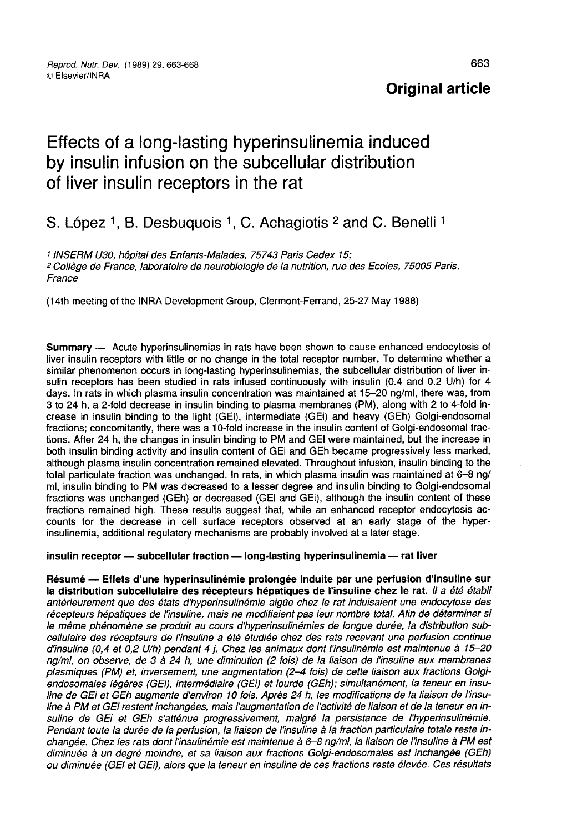## **Original article**

# Effects of a long-lasting hyperinsulinemia induced by insulin infusion on the subcellular distribution of liver insulin receptors in the rat Effects of a long-lasting hyperinsulinemia induced<br>by insulin infusion on the subcellular distribution<br>of liver insulin receptors in the rat<br>S. López <sup>1</sup>, B. Desbuquois <sup>1</sup>, C. Achagiotis <sup>2</sup> and C. Benelli <sup>1</sup>

1 INSERM U30, hôpital des Enfants-Malades, 75743 Paris Cedex 15; 2 Collège de France, laboratoire de neurobiologie de la nutrition, rue des Ecoles, 75005 Paris, France

(l4th meeting of the INRA Development Group, Clermont-Ferrand, 25-27 May 1988)

Summary ― Acute hyperinsulinemias in rats have been shown to cause enhanced endocytosis of liver insulin receptors with little or no change in the total receptor number. To determine whether a similar phenomenon occurs in long-lasting hyperinsulinemias, the subcellular distribution of liver insulin receptors has been studied in rats infused continuously with insulin (0.4 and 0.2 U/h) for 4 days. In rats in which plasma insulin concentration was maintained at 15-20 ng/ml, there was, from 3 to 24 h, a 2-fold decrease in insulin binding to plasma membranes (PM), along with 2 to 4-fold increase in insulin binding to the light (GEI), intermediate (GEi) and heavy (GEh) Golgi-endosomal fractions; concomitantly, there was a 10-fold increase in the insulin content of Golgi-endosomal fractions. After 24 h, the changes in insulin binding to PM and GEI were maintained, but the increase in both insulin binding activity and insulin content of GEi and GEh became progressively less marked, although plasma insulin concentration remained elevated. Throughout infusion, insulin binding to the total particulate fraction was unchanged. In rats, in which plasma insulin was maintained at 6-8 ng/ ml, insulin binding to PM was decreased to a lesser degree and insulin binding to Golgi-endosomal fractions was unchanged (GEh) or decreased (GEI and GEi), although the insulin content of these fractions remained high. These results suggest that, while an enhanced receptor endocytosis accounts for the decrease in cell surface receptors observed at an early stage of the hyperinsulinemia, additional regulatory mechanisms are probably involved at a later stage.

#### insulin receptor - subcellular fraction - long-lasting hyperinsulinemia - rat liver

Résumé ― Effets d'une hyperinsulinémie prolongée induite par une perfusion d'insuline sur la distribution subcellulaire des récepteurs hépatiques de l'insuline chez le rat. Il a été établi antérieurement que des états d'hyperinsulinémie aigüe chez le rat induisaient une endocytose des récepteurs hépatiques de l'insuline, mais ne modifiaient pas leur nombre total. Afin de déterminer si le même phénomène se produit au cours d'hyperinsulinémies de longue durée, la distribution subcellulaire des récepteurs de l'insuline a été étudiée chez des rats recevant une perfusion continue d'insuline (0,4 et 0,2 Ulh) pendant 4 j. Chez les animaux dont l'insulinémie est maintenue à 15-20 ng/ml, on observe, de 3 à 24 h, une diminution (2 fois) de la liaison de l'insuline aux membranes plasmiques (PM) et, inversement, une augmentation (2-4 fois) de cette liaison aux fractions Golgiendosomales légères (GEI), intermédiaire (GEi) et lourde (GEh); simultanément, la teneur en insuline de GEi et GEh augmente d'environ 10 fois. Après 24 h, les modifications de la liaison de l'insuline à PM et GEI restent inchangées, mais l'augmentation de l'activité de liaison et de la teneur en insuline de GEi et GEh s'atténue progressivement, malgré la persistance de l'hyperinsulinémie. Pendant toute la durée de la perfusion, la liaison de l'insuline à la fraction particulaire totale reste inchangée. Chez les rats dont l'insulinémie est maintenue à 6–8 ng/ml, la liaison de l'insuline à PM est<br>diminuée à un degré moindre, et sa liaison aux fractions Golgi-endosomales est inchangée (GEh) ou diminuée (GEI et GEi), alors que la teneur en insuline de ces fractions reste élevée. Ces résultats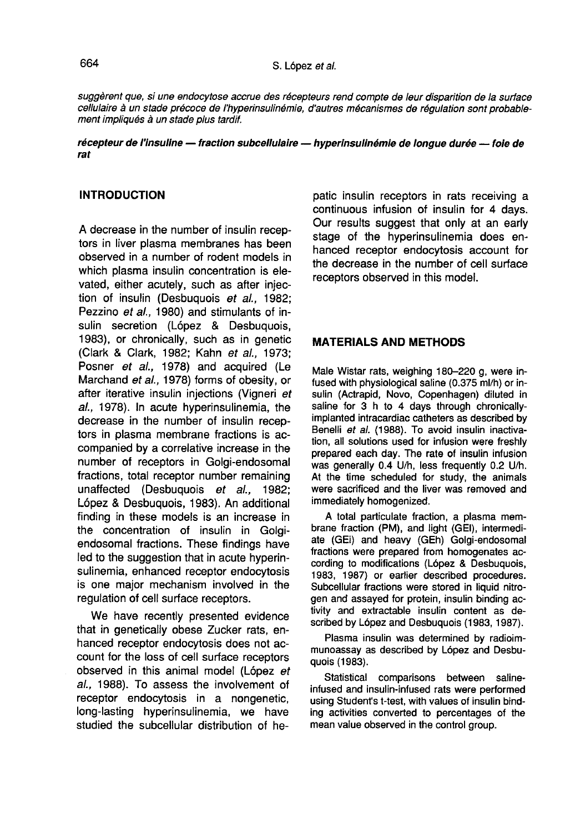suggèrent que, si une endocytose accrue des récepteurs rend compte de leur disparition de la surface cellulaire à un stade précoce de l'hyperinsulinémie, d'autres mécanismes de régulation sont probable-<br>ment impliqués à un stade plus tardif.

#### récepteur de l'insuline - fraction subcellulaire - hyperinsulinémie de longue durée -- foie de rat

#### **INTRODUCTION**

A decrease in the number of insulin receptors in liver plasma membranes has been observed in a number of rodent models in which plasma insulin concentration is elevated, either acutely, such as after injection of insulin (Desbuquois et al., 1982; Pezzino et al., 1980) and stimulants of insulin secretion (López & Desbuquois, 1983), or chronically, such as in genetic (Clark & Clark, 1982; Kahn et al., 1973; Posner et al., 1978) and acquired (Le Marchand et al., 1978) forms of obesity, or after iterative insulin injections (Vigneri et al., 1978). In acute hyperinsulinemia, the decrease in the number of insulin receptors in plasma membrane fractions is accompanied by a correlative increase in the number of receptors in Golgi-endosomal fractions, total receptor number remaining<br>unaffected (Desbuguois et al., 1982; unaffected (Desbuquois et al., L6pez & Desbuquois, 1983). An additional finding in these models is an increase in the concentration of insulin in Golgiendosomal fractions. These findings have led to the suggestion that in acute hyperinsulinemia, enhanced receptor endocytosis is one major mechanism involved in the regulation of cell surface receptors.

We have recently presented evidence that in genetically obese Zucker rats, enhanced receptor endocytosis does not account for the loss of cell surface receptors observed in this animal model (López et al., 1988). To assess the involvement of receptor endocytosis in a nongenetic, long-lasting hyperinsulinemia, we have studied the subcellular distribution of hepatic insulin receptors in rats receiving a continuous infusion of insulin for 4 days. Our results suggest that only at an early stage of the hyperinsulinemia does enhanced receptor endocytosis account for the decrease in the number of cell surface receptors observed in this model.

#### MATERIALS AND METHODS

Male Wistar rats, weighing 180-220 g, were infused with physiological saline (0.375 ml/h) or insulin (Actrapid, Novo, Copenhagen) diluted in saline for 3 h to 4 days through chronicallyimplanted intracardiac catheters as described by Benelli et al. (1988). To avoid insulin inactivation, all solutions used for infusion were freshly prepared each day. The rate of insulin infusion was generally 0.4 U/h, less frequently 0.2 U/h. At the time scheduled for study, the animals were sacrificed and the liver was removed and immediately homogenized.

A total particulate fraction, a plasma membrane fraction (PM), and light (GEI), intermediate (GEi) and heavy (GEh) Golgi-endosomal fractions were prepared from homogenates according to modifications (L6pez & Desbuquois, 1983, 1987) or earlier described procedures. Subcellular fractions were stored in liquid nitrogen and assayed for protein, insulin binding activity and extractable insulin content as described by L6pez and Desbuquois (1983, 1987).

Plasma insulin was determined by radioimmunoassay as described by L6pez and Desbuquois (1983).

Statistical comparisons between salineinfused and insulin-infused rats were performed using Student's t-test, with values of insulin binding activities converted to percentages of the mean value observed in the control group.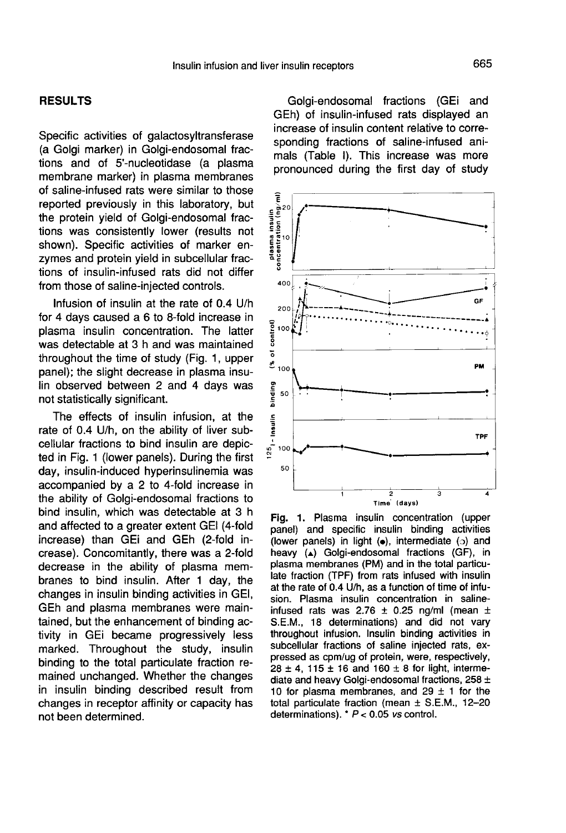#### RESULTS

Specific activities of galactosyltransferase (a Golgi marker) in Golgi-endosomal fractions and of 5'-nucleotidase (a plasma membrane marker) in plasma membranes of saline-infused rats were similar to those reported previously in this laboratory, but the protein yield of Golgi-endosomal fractions was consistently lower (results not shown). Specific activities of marker enzymes and protein yield in subcellular fractions of insulin-infused rats did not differ from those of saline-injected controls.

Infusion of insulin at the rate of 0.4 U/h for 4 days caused a 6 to 8-fold increase in plasma insulin concentration. The latter was detectable at 3 h and was maintained throughout the time of study (Fig. 1, upper panel); the slight decrease in plasma insulin observed between 2 and 4 days was not statistically significant.

The effects of insulin infusion, at the rate of 0.4 U/h, on the ability of liver subcellular fractions to bind insulin are depicted in Fig. 1 (lower panels). During the first day, insulin-induced hyperinsulinemia was accompanied by a 2 to 4-fold increase in the ability of Golgi-endosomal fractions to bind insulin, which was detectable at 3 h and affected to a greater extent GEI (4-fold increase) than GEi and GEh (2-fold increase). Concomitantly, there was a 2-fold decrease in the ability of plasma membranes to bind insulin. After 1 day, the changes in insulin binding activities in GEI, GEh and plasma membranes were maintained, but the enhancement of binding activity in GEi became progressively less marked. Throughout the study, insulin binding to the total particulate fraction remained unchanged. Whether the changes in insulin binding described result from changes in receptor affinity or capacity has not been determined.

Golgi-endosomal fractions (GEi and GEh) of insulin-infused rats displayed an increase of insulin content relative to corresponding fractions of saline-infused animals (Table I). This increase was more pronounced during the first day of study



panel) and specific insulin binding activities (lower panels) in light  $(\bullet)$ , intermediate  $(\circ)$  and heavy (A) Golgi-endosomal fractions (GF), in plasma membranes (PM) and in the total particulate fraction (TPF) from rats infused with insulin at the rate of 0.4 U/h, as a function of time of infusion. Plasma insulin concentration in salineinfused rats was 2.76  $\pm$  0.25 ng/ml (mean  $\pm$ S.E.M., 18 determinations) and did not vary throughout infusion. Insulin binding activities in subcellular fractions of saline injected rats, expressed as cpm/ug of protein, were, respectively,  $28 \pm 4$ , 115 ± 16 and 160 ± 8 for light, intermediate and heavy Golgi-endosomal fractions,  $258 \pm$ 10 for plasma membranes, and 29  $\pm$  1 for the total particulate fraction (mean  $\pm$  S.E.M., 12-20 determinations). \*  $P < 0.05$  vs control.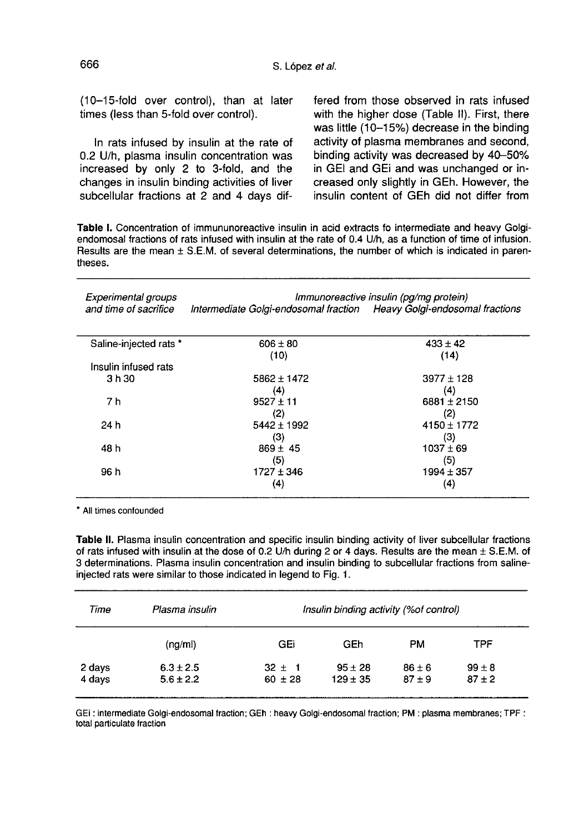(10-15-fold over control), than at later times (less than 5-fold over control).

In rats infused by insulin at the rate of 0.2 U/h, plasma insulin concentration was increased by only 2 to 3-fold, and the changes in insulin binding activities of liver subcellular fractions at 2 and 4 days dif-

fered from those observed in rats infused with the higher dose (Table II). First, there was little (10-15%) decrease in the binding activity of plasma membranes and second, binding activity was decreased by 40-50% in GEI and GEi and was unchanged or increased only slightly in GEh. However, the insulin content of GEh did not differ from

Table I. Concentration of immununoreactive insulin in acid extracts fo intermediate and heavy Golgiendomosal fractions of rats infused with insulin at the rate of 0.4 U/h, as a function of time of infusion. Results are the mean ± S.E.M. of several determinations, the number of which is indicated in parentheses.

**Experimental groups** Immunoreactive insulin (pa/ma protein) and time of sacrifice Intermediate Golgi-endosomal fraction Heavy Golgi-endosomal fractions

| Saline-injected rats * | $606 \pm 80$    | $433 \pm 42$    |
|------------------------|-----------------|-----------------|
|                        | (10)            | (14)            |
| Insulin infused rats   |                 |                 |
| 3 h 30                 | $5862 \pm 1472$ | $3977 \pm 128$  |
|                        | (4)             | (4)             |
| 7 h                    | $9527 \pm 11$   | $6881 \pm 2150$ |
|                        | (2)             | (2)             |
| 24 h                   | $5442 \pm 1992$ | $4150 \pm 1772$ |
|                        | (3)             | (3)             |
| 48 h                   | $869 \pm 45$    | $1037 \pm 69$   |
|                        | (5)             | (5)             |
| 96 h                   | $1727 \pm 346$  | $1994 \pm 357$  |
|                        | (4)             | (4)             |
|                        |                 |                 |

\* All times confounded

Table II. Plasma insulin concentration and specific insulin binding activity of liver subcellular fractions of rats infused with insulin at the dose of 0.2 U/h during 2 or 4 days. Results are the mean ± S.E.M. of 3 determinations. Plasma insulin concentration and insulin binding to subcellular fractions from salineinjected rats were similar to those indicated in legend to Fig. 1.

| Time             | Plasma insulin                 | Insulin binding activity (% of control) |                             |                        |                        |  |  |
|------------------|--------------------------------|-----------------------------------------|-----------------------------|------------------------|------------------------|--|--|
|                  | (nq/m)                         | GEi                                     | GEh                         | <b>PM</b>              | TPF                    |  |  |
| 2 days<br>4 days | $6.3 \pm 2.5$<br>$5.6 \pm 2.2$ | $32 \pm 1$<br>$60 \pm 28$               | $95 \pm 28$<br>$129 \pm 35$ | $86 \pm 6$<br>$87 + 9$ | $99 \pm 8$<br>$87 + 2$ |  |  |

GEI : intermediate Golgi-endosomal fraction; GEh : heavy Golgi-endosomal fraction; PM : plasma membranes; TPF : total particulate fraction

666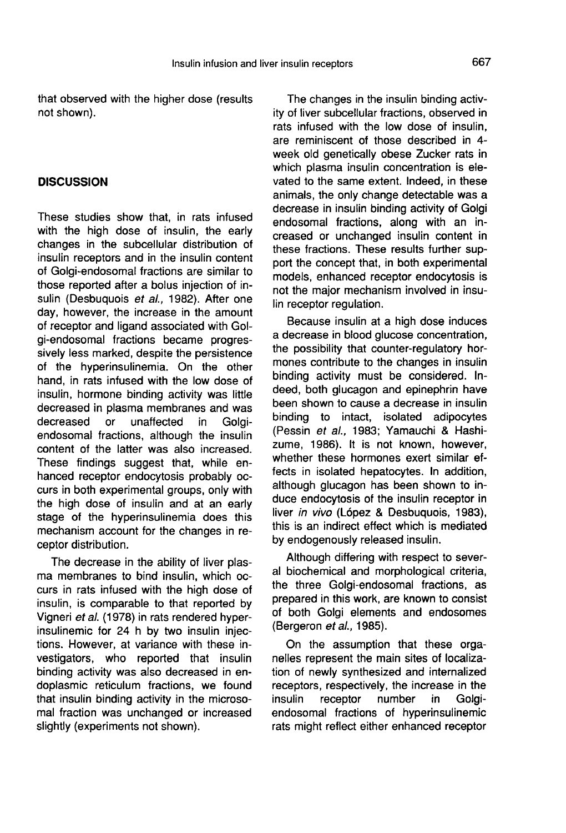that observed with the higher dose (results not shown).

#### **DISCUSSION**

These studies show that, in rats infused with the high dose of insulin, the early changes in the subcellular distribution of insulin receptors and in the insulin content of Golgi-endosomal fractions are similar to those reported after a bolus injection of insulin (Desbuquois et al., 1982). After one day, however, the increase in the amount of receptor and ligand associated with Golgi-endosomal fractions became progressively less marked, despite the persistence of the hyperinsulinemia. On the other hand, in rats infused with the low dose of insulin, hormone binding activity was little decreased in plasma membranes and was<br>decreased or unaffected in Golgiunaffected endosomal fractions, although the insulin content of the latter was also increased. These findings suggest that, while enhanced receptor endocytosis probably occurs in both experimental groups, only with the high dose of insulin and at an early stage of the hyperinsulinemia does this mechanism account for the changes in receptor distribution.

The decrease in the ability of liver plas- ma membranes to bind insulin, which occurs in rats infused with the high dose of insulin, is comparable to that reported by Vigneri et al. (1978) in rats rendered hyperinsulinemic for 24 h by two insulin injections. However, at variance with these investigators, who reported that insulin binding activity was also decreased in endoplasmic reticulum fractions, we found that insulin binding activity in the microsomal fraction was unchanged or increased slightly (experiments not shown).

The changes in the insulin binding activity of liver subcellular fractions, observed in rats infused with the low dose of insulin, are reminiscent of those described in 4 week old genetically obese Zucker rats in which plasma insulin concentration is elevated to the same extent. Indeed, in these animals, the only change detectable was a decrease in insulin binding activity of Golgi endosomal fractions, along with an increased or unchanged insulin content in these fractions. These results further support the concept that, in both experimental models, enhanced receptor endocytosis is not the major mechanism involved in insulin receptor regulation.

Because insulin at a high dose induces a decrease in blood glucose concentration, the possibility that counter-regulatory hormones contribute to the changes in insulin binding activity must be considered. Indeed, both glucagon and epinephrin have been shown to cause a decrease in insulin binding to intact, isolated adipocytes (Pessin et al., 1983; Yamauchi & Hashizume, 1986). It is not known, however, whether these hormones exert similar effects in isolated hepatocytes. In addition, although glucagon has been shown to induce endocytosis of the insulin receptor in liver in vivo (López & Desbuquois, 1983), this is an indirect effect which is mediated by endogenously released insulin.

Although differing with respect to several biochemical and morphological criteria, the three Golgi-endosomal fractions, as prepared in this work, are known to consist of both Golgi elements and endosomes (Bergeron et al., 1985).

On the assumption that these organelles represent the main sites of localization of newly synthesized and internalized receptors, respectively, the increase in the<br>insulin receptor number in Golgireceptor endosomal fractions of hyperinsulinemic rats might reflect either enhanced receptor